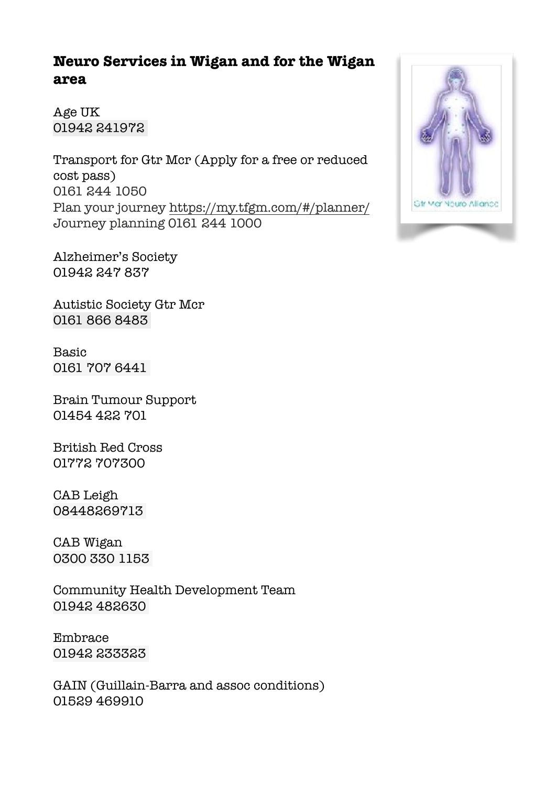## **Neuro Services in Wigan and for the Wigan area**

Age UK 01942 241972

Transport for Gtr Mcr (Apply for a free or reduced cost pass) 0161 244 1050 Plan your journey<https://my.tfgm.com/#/planner/> Journey planning 0161 244 1000

Alzheimer's Society 01942 247 837

Autistic Society Gtr Mcr 0161 866 8483

Basic 0161 707 6441

Brain Tumour Support 01454 422 701

British Red Cross 01772 707300

CAB Leigh 08448269713

CAB Wigan 0300 330 1153

Community Health Development Team 01942 482630

Embrace 01942 233323

GAIN (Guillain-Barra and assoc conditions) 01529 469910

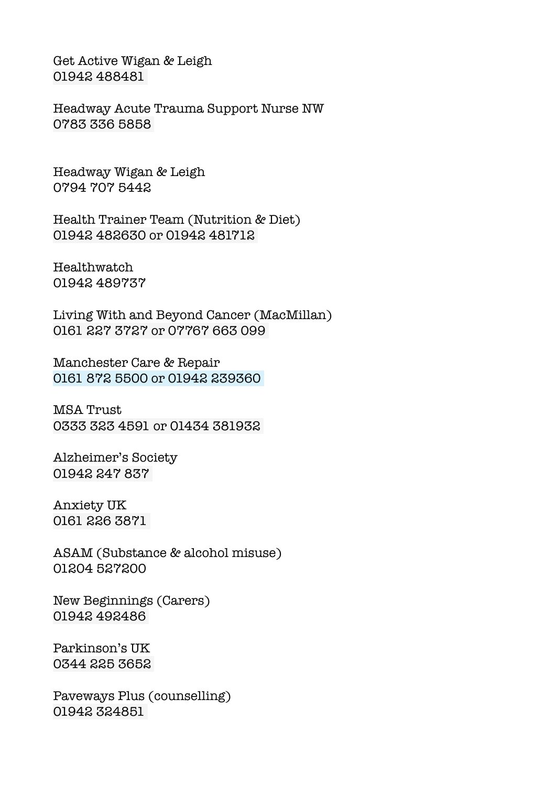Get Active Wigan & Leigh 01942 488481

Headway Acute Trauma Support Nurse NW 0783 336 5858

Headway Wigan & Leigh 0794 707 5442

Health Trainer Team (Nutrition & Diet) 01942 482630 or 01942 481712

Healthwatch 01942 489737

Living With and Beyond Cancer (MacMillan) 0161 227 3727 or 07767 663 099

Manchester Care & Repair 0161 872 5500 or 01942 239360

MSA Trust 0333 323 4591 or 01434 381932

Alzheimer's Society 01942 247 837

Anxiety UK 0161 226 3871

ASAM (Substance & alcohol misuse) 01204 527200

New Beginnings (Carers) 01942 492486

Parkinson's UK 0344 225 3652

Paveways Plus (counselling) 01942 324851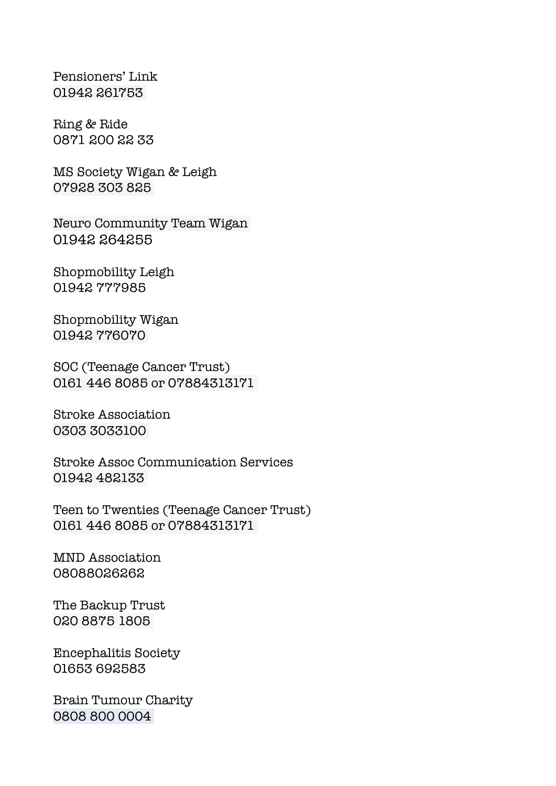Pensioners' Link 01942 261753

Ring & Ride 0871 200 22 33

MS Society Wigan & Leigh 07928 303 825

Neuro Community Team Wigan 01942 264255

Shopmobility Leigh 01942 777985

Shopmobility Wigan 01942 776070

SOC (Teenage Cancer Trust) 0161 446 8085 or 07884313171

Stroke Association 0303 3033100

Stroke Assoc Communication Services 01942 482133

Teen to Twenties (Teenage Cancer Trust) 0161 446 8085 or 07884313171

MND Association 08088026262

The Backup Trust 020 8875 1805

Encephalitis Society 01653 692583

Brain Tumour Charity 0808 800 0004